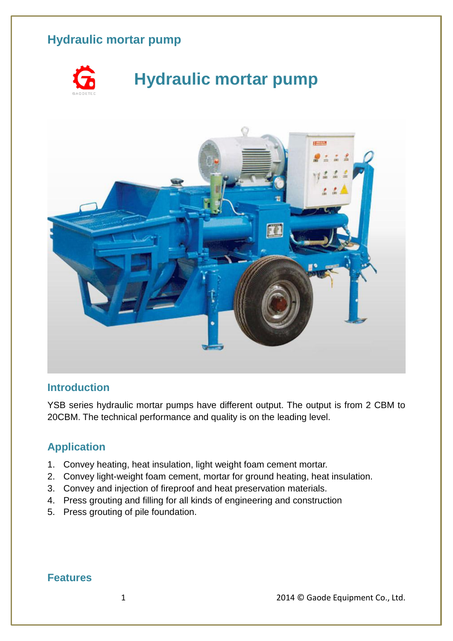

# **Hydraulic mortar pump**



#### **Introduction**

YSB series hydraulic mortar pumps have different output. The output is from 2 CBM to 20CBM. The technical performance and quality is on the leading level.

#### **Application**

- 1. Convey heating, heat insulation, light weight foam cement mortar.
- 2. Convey light-weight foam cement, mortar for ground heating, heat insulation.
- 3. Convey and injection of fireproof and heat preservation materials.
- 4. Press grouting and filling for all kinds of engineering and construction
- 5. Press grouting of pile foundation.

#### **Features**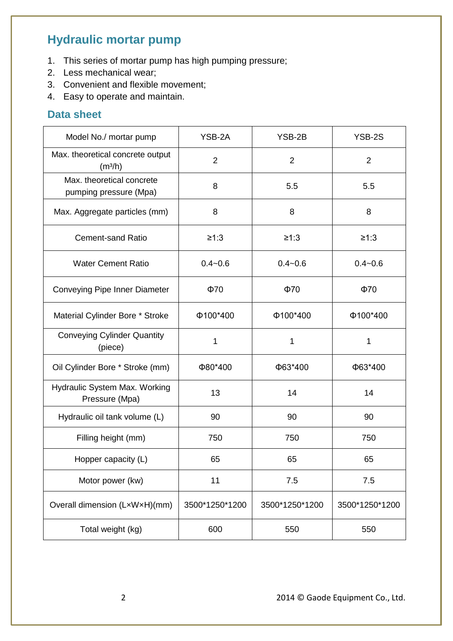- 1. This series of mortar pump has high pumping pressure;
- 2. Less mechanical wear;
- 3. Convenient and flexible movement;
- 4. Easy to operate and maintain.

#### **Data sheet**

| Model No./ mortar pump                                  | YSB-2A         | YSB-2B         | YSB-2S         |
|---------------------------------------------------------|----------------|----------------|----------------|
| Max. theoretical concrete output<br>(m <sup>3</sup> /h) | $\overline{2}$ | $\overline{2}$ | $\overline{2}$ |
| Max. theoretical concrete<br>pumping pressure (Mpa)     | 8              | 5.5            | 5.5            |
| Max. Aggregate particles (mm)                           | 8              | 8              | 8              |
| <b>Cement-sand Ratio</b>                                | ≥1:3           | ≥1:3           | $≥1:3$         |
| <b>Water Cement Ratio</b>                               | $0.4 - 0.6$    | $0.4 - 0.6$    | $0.4 - 0.6$    |
| Conveying Pipe Inner Diameter                           | $\Phi$ 70      | $\Phi$ 70      | $\Phi$ 70      |
| Material Cylinder Bore * Stroke                         | Φ100*400       | Φ100*400       | Φ100*400       |
| <b>Conveying Cylinder Quantity</b><br>(piece)           | 1              | 1              | 1              |
| Oil Cylinder Bore * Stroke (mm)                         | Φ80*400        | Ф63*400        | Ф63*400        |
| Hydraulic System Max. Working<br>Pressure (Mpa)         | 13             | 14             | 14             |
| Hydraulic oil tank volume (L)                           | 90             | 90             | 90             |
| Filling height (mm)                                     | 750            | 750            | 750            |
| Hopper capacity (L)                                     | 65             | 65             | 65             |
| Motor power (kw)                                        | 11             | 7.5            | 7.5            |
| Overall dimension (LxWxH)(mm)                           | 3500*1250*1200 | 3500*1250*1200 | 3500*1250*1200 |
| Total weight (kg)                                       | 600            | 550            | 550            |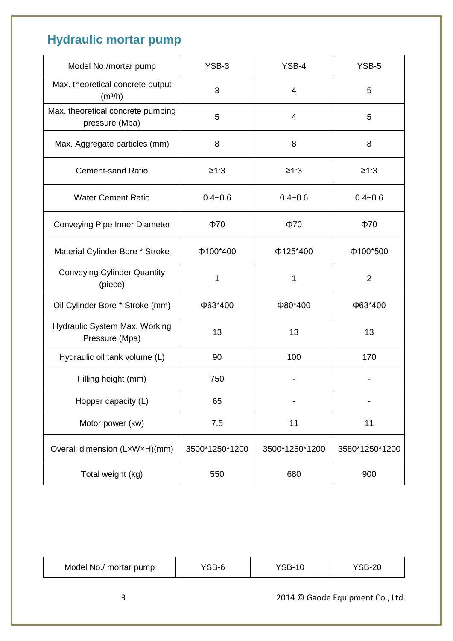| Model No./mortar pump                                   | YSB-3          | YSB-4          | YSB-5          |
|---------------------------------------------------------|----------------|----------------|----------------|
| Max. theoretical concrete output<br>(m <sup>3</sup> /h) | 3              | 4              | 5              |
| Max. theoretical concrete pumping<br>pressure (Mpa)     | 5              | 4              | 5              |
| Max. Aggregate particles (mm)                           | 8              | 8              | 8              |
| <b>Cement-sand Ratio</b>                                | ≥1:3           | ≥1:3           | ≥1:3           |
| <b>Water Cement Ratio</b>                               | $0.4 - 0.6$    | $0.4 - 0.6$    | $0.4 - 0.6$    |
| Conveying Pipe Inner Diameter                           | $\Phi$ 70      | $\Phi$ 70      | $\Phi$ 70      |
| Material Cylinder Bore * Stroke                         | Φ100*400       | Φ125*400       | Φ100*500       |
| <b>Conveying Cylinder Quantity</b><br>(piece)           | 1              | 1              | $\overline{2}$ |
| Oil Cylinder Bore * Stroke (mm)                         | Ф63*400        | Φ80*400        | Ф63*400        |
| Hydraulic System Max. Working<br>Pressure (Mpa)         | 13             | 13             | 13             |
| Hydraulic oil tank volume (L)                           | 90             | 100            | 170            |
| Filling height (mm)                                     | 750            |                |                |
| Hopper capacity (L)                                     | 65             |                |                |
| Motor power (kw)                                        | 7.5            | 11             | 11             |
| Overall dimension (LxWxH)(mm)                           | 3500*1250*1200 | 3500*1250*1200 | 3580*1250*1200 |
| Total weight (kg)                                       | 550            | 680            | 900            |

| Model No./ mortar pump | YSB-6 | 'SB-<br>U | $^{\prime}$ SB-20 |
|------------------------|-------|-----------|-------------------|
|------------------------|-------|-----------|-------------------|